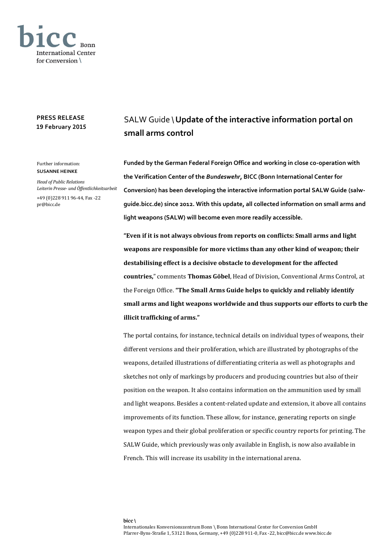

## **PRESS RELEASE 19 February 2015**

## Further information: **SUSANNE HEINKE**

*Head of Public Relations Leiterin Presse- und Öffentlichkeitsarbeit*

+49 (0)228 911 96-44, Fax -22 pr@bicc.de

## SALW Guide \ **Update of the interactive information portal on small arms control**

**Funded by the German Federal Foreign Office and working in close co-operation with the Verification Center of the** *Bundeswehr***, BICC (Bonn International Center for Conversion) has been developing the interactive information portal SALW Guide (salwguide.bicc.de) since 2012. With this update, all collected information on small arms and light weapons (SALW) will become even more readily accessible.** 

**"Even if it is not always obvious from reports on conflicts: Small arms and light weapons are responsible for more victims than any other kind of weapon; their destabilising effect is a decisive obstacle to development for the affected countries,**" comments **Thomas Göbel**, Head of Division, Conventional Arms Control, at the Foreign Office. **"The Small Arms Guide helps to quickly and reliably identify small arms and light weapons worldwide and thus supports our efforts to curb the illicit trafficking of arms."**

The portal contains, for instance, technical details on individual types of weapons, their different versions and their proliferation, which are illustrated by photographs of the weapons, detailed illustrations of differentiating criteria as well as photographs and sketches not only of markings by producers and producing countries but also of their position on the weapon. It also contains information on the ammunition used by small and light weapons. Besides a content-related update and extension, it above all contains improvements of its function. These allow, for instance, generating reports on single weapon types and their global proliferation or specific country reports for printing. The SALW Guide, which previously was only available in English, is now also available in French. This will increase its usability in the international arena.